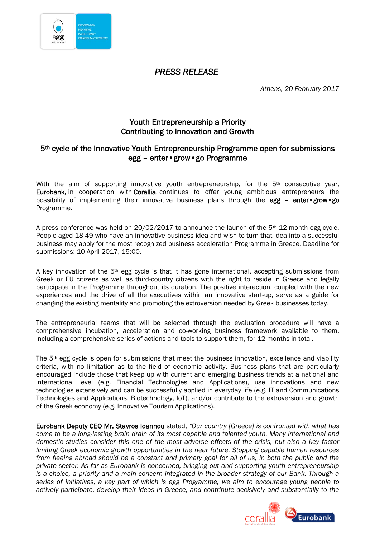

## *PRESS RELEASE*

*Athens, 20 February 2017*

## Youth Entrepreneurship a Priority Contributing to Innovation and Growth

## 5th cycle of the Innovative Youth Entrepreneurship Programme open for submissions egg – enter•grow•go Programme

With the aim of supporting innovative youth entrepreneurship, for the  $5<sup>th</sup>$  consecutive year, Eurobank, in cooperation with Corallia, continues to offer young ambitious entrepreneurs the possibility of implementing their innovative business plans through the  $egg -$  enter•grow•go Programme.

A press conference was held on 20/02/2017 to announce the launch of the 5th 12-month egg cycle. People aged 18-49 who have an innovative business idea and wish to turn that idea into a successful business may apply for the most recognized business acceleration Programme in Greece. Deadline for submissions: 10 April 2017, 15:00.

A key innovation of the 5th egg cycle is that it has gone international, accepting submissions from Greek or EU citizens as well as third-country citizens with the right to reside in Greece and legally participate in the Programme throughout its duration. The positive interaction, coupled with the new experiences and the drive of all the executives within an innovative start-up, serve as a guide for changing the existing mentality and promoting the extroversion needed by Greek businesses today.

The entrepreneurial teams that will be selected through the evaluation procedure will have a comprehensive incubation, acceleration and co-working business framework available to them, including a comprehensive series of actions and tools to support them, for 12 months in total.

The 5<sup>th</sup> egg cycle is open for submissions that meet the business innovation, excellence and viability criteria, with no limitation as to the field of economic activity. Business plans that are particularly encouraged include those that keep up with current and emerging business trends at a national and international level (e.g. Financial Technologies and Applications), use innovations and new technologies extensively and can be successfully applied in everyday life (e.g. IT and Communications Technologies and Applications, Biotechnology, IoT), and/or contribute to the extroversion and growth of the Greek economy (e.g. Innovative Tourism Applications).

Eurobank Deputy CEO Mr. Stavros Ioannou stated, *"Our country [Greece] is confronted with what has come to be a long-lasting brain drain of its most capable and talented youth. Many international and domestic studies consider this one of the most adverse effects of the crisis, but also a key factor limiting Greek economic growth opportunities in the near future. Stopping capable human resources from fleeing abroad should be a constant and primary goal for all of us, in both the public and the private sector. As far as Eurobank is concerned, bringing out and supporting youth entrepreneurship is a choice, a priority and a main concern integrated in the broader strategy of our Bank. Through a series of initiatives, a key part of which is egg Programme, we aim to encourage young people to actively participate, develop their ideas in Greece, and contribute decisively and substantially to the*